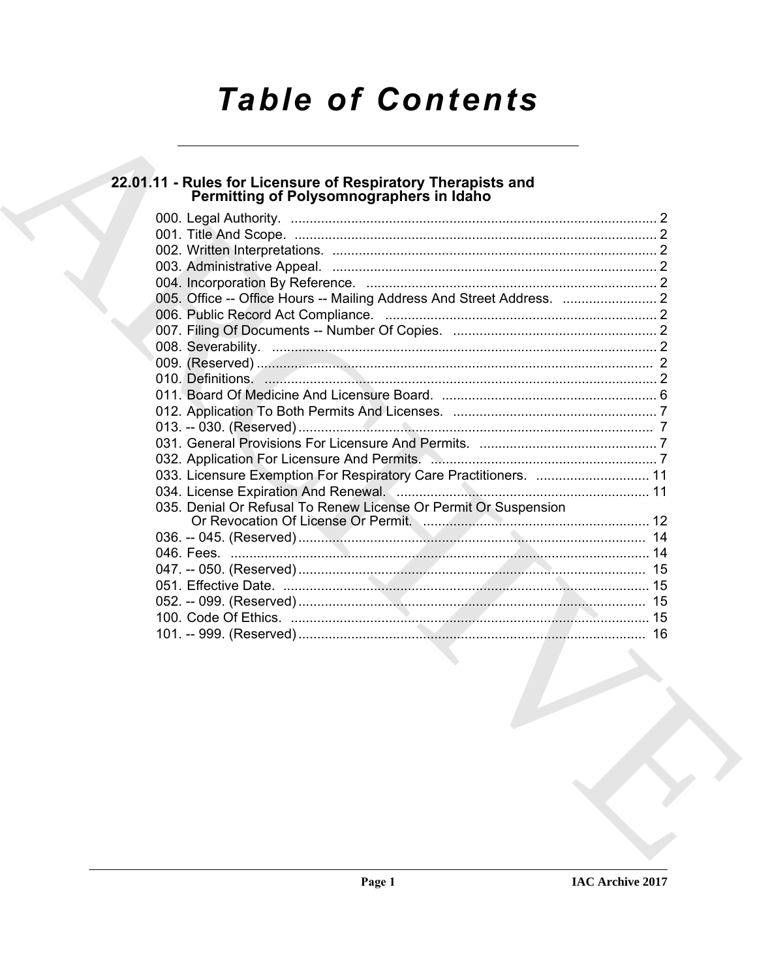# **Table of Contents**

# 22.01.11 - Rules for Licensure of Respiratory Therapists and<br>Permitting of Polysomnographers in Idaho

| 010. Definitions. 2010. 2010. 2010. 2010. 2010. 2010. 2010. 2010. 2010. 2010. 2010. 2010. 2010. 2010. 2010. 2010. 2010. 2010. 2010. 2010. 2010. 2010. 2010. 2010. 2010. 2010. 2010. 2010. 2010. 2010. 2010. 2010. 2010. 2010. |  |
|-------------------------------------------------------------------------------------------------------------------------------------------------------------------------------------------------------------------------------|--|
|                                                                                                                                                                                                                               |  |
|                                                                                                                                                                                                                               |  |
|                                                                                                                                                                                                                               |  |
|                                                                                                                                                                                                                               |  |
|                                                                                                                                                                                                                               |  |
| 033. Licensure Exemption For Respiratory Care Practitioners.  11                                                                                                                                                              |  |
|                                                                                                                                                                                                                               |  |
| 035. Denial Or Refusal To Renew License Or Permit Or Suspension                                                                                                                                                               |  |
|                                                                                                                                                                                                                               |  |
|                                                                                                                                                                                                                               |  |
|                                                                                                                                                                                                                               |  |
|                                                                                                                                                                                                                               |  |
|                                                                                                                                                                                                                               |  |
|                                                                                                                                                                                                                               |  |
|                                                                                                                                                                                                                               |  |
|                                                                                                                                                                                                                               |  |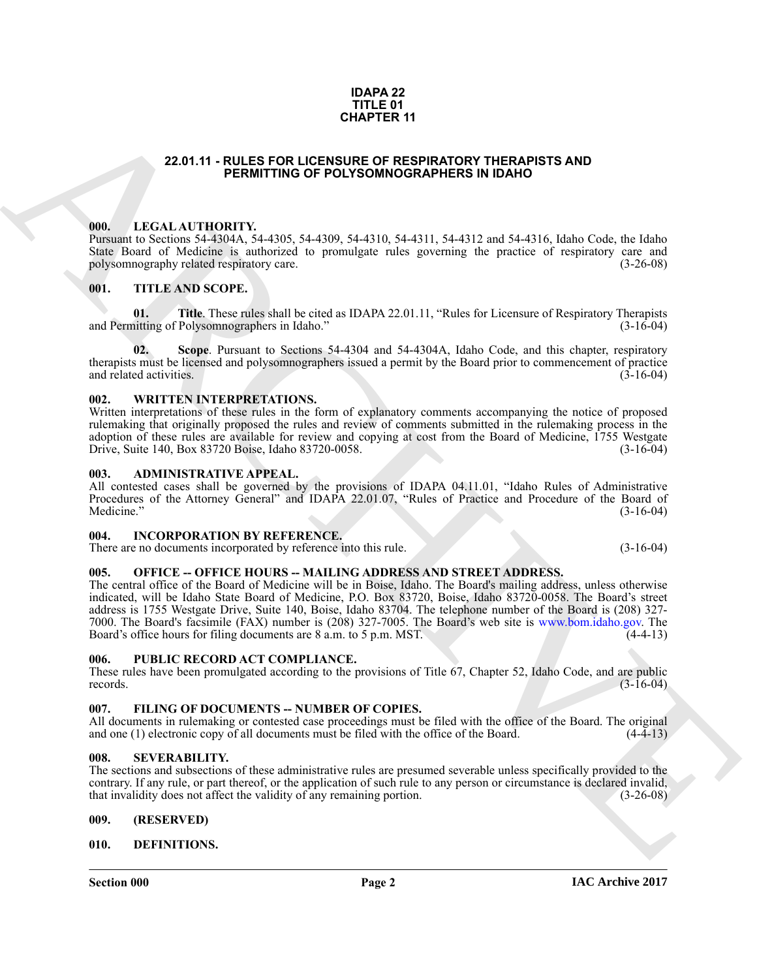#### **IDAPA 22 TITLE 01 CHAPTER 11**

#### **22.01.11 - RULES FOR LICENSURE OF RESPIRATORY THERAPISTS AND PERMITTING OF POLYSOMNOGRAPHERS IN IDAHO**

#### <span id="page-1-1"></span><span id="page-1-0"></span>**000. LEGAL AUTHORITY.**

Pursuant to Sections 54-4304A, 54-4305, 54-4309, 54-4310, 54-4311, 54-4312 and 54-4316, Idaho Code, the Idaho State Board of Medicine is authorized to promulgate rules governing the practice of respiratory care and polysomnography related respiratory care. (3-26-08) polysomnography related respiratory care.

#### <span id="page-1-2"></span>**001. TITLE AND SCOPE.**

**01.** Title. These rules shall be cited as IDAPA 22.01.11, "Rules for Licensure of Respiratory Therapists in triting of Polysomnographers in Idaho." (3-16-04) and Permitting of Polysomnographers in Idaho."

**02. Scope**. Pursuant to Sections 54-4304 and 54-4304A, Idaho Code, and this chapter, respiratory therapists must be licensed and polysomnographers issued a permit by the Board prior to commencement of practice and related activities. (3-16-04) and related activities.

#### <span id="page-1-3"></span>**002. WRITTEN INTERPRETATIONS.**

Written interpretations of these rules in the form of explanatory comments accompanying the notice of proposed rulemaking that originally proposed the rules and review of comments submitted in the rulemaking process in the adoption of these rules are available for review and copying at cost from the Board of Medicine, 1755 Westgate Drive, Suite 140, Box 83720 Boise, Idaho 83720-0058. (3-16-04)

#### <span id="page-1-4"></span>**003. ADMINISTRATIVE APPEAL.**

All contested cases shall be governed by the provisions of IDAPA 04.11.01, "Idaho Rules of Administrative Procedures of the Attorney General" and IDAPA 22.01.07, "Rules of Practice and Procedure of the Board of Medicine."  $(3-16-04)$ 

#### <span id="page-1-5"></span>**004. INCORPORATION BY REFERENCE.**

There are no documents incorporated by reference into this rule. (3-16-04)

### <span id="page-1-6"></span>005. OFFICE -- OFFICE HOURS -- MAILING ADDRESS AND STREET ADDRESS.

**CHAPTER 11**<br> **CHAPTER 12 (CAT ATTHORITY, 41 (CRIMITING OF POLYGOMMOGRAPHERS IN IDAMO THE RAPISTS AND<br>
FROM THE SERVICION CONTRACTOR (SCIENCISTS), NASEL AND STRUCTURE IN CONTRACTOR (SCIENCISTS), The CAT ATTENT CONTRACTOR** The central office of the Board of Medicine will be in Boise, Idaho. The Board's mailing address, unless otherwise indicated, will be Idaho State Board of Medicine, P.O. Box 83720, Boise, Idaho 83720-0058. The Board's street address is 1755 Westgate Drive, Suite 140, Boise, Idaho 83704. The telephone number of the Board is (208) 327- 7000. The Board's facsimile (FAX) number is (208) 327-7005. The Board's web site is www.bom.idaho.gov. The Board's office hours for filing documents are 8 a.m. to 5 p.m. MST. (4-4-13)

#### <span id="page-1-7"></span>**006. PUBLIC RECORD ACT COMPLIANCE.**

These rules have been promulgated according to the provisions of Title 67, Chapter 52, Idaho Code, and are public records. (3-16-04) records.  $(3-16-04)$ 

#### <span id="page-1-13"></span><span id="page-1-8"></span>**007. FILING OF DOCUMENTS -- NUMBER OF COPIES.**

All documents in rulemaking or contested case proceedings must be filed with the office of the Board. The original and one (1) electronic copy of all documents must be filed with the office of the Board. (4-4-13) and one  $(1)$  electronic copy of all documents must be filed with the office of the Board.

#### <span id="page-1-9"></span>**008. SEVERABILITY.**

The sections and subsections of these administrative rules are presumed severable unless specifically provided to the contrary. If any rule, or part thereof, or the application of such rule to any person or circumstance is declared invalid, that invalidity does not affect the validity of any remaining portion. (3-26-08) that invalidity does not affect the validity of any remaining portion.

#### <span id="page-1-10"></span>**009. (RESERVED)**

#### <span id="page-1-12"></span><span id="page-1-11"></span>**010. DEFINITIONS.**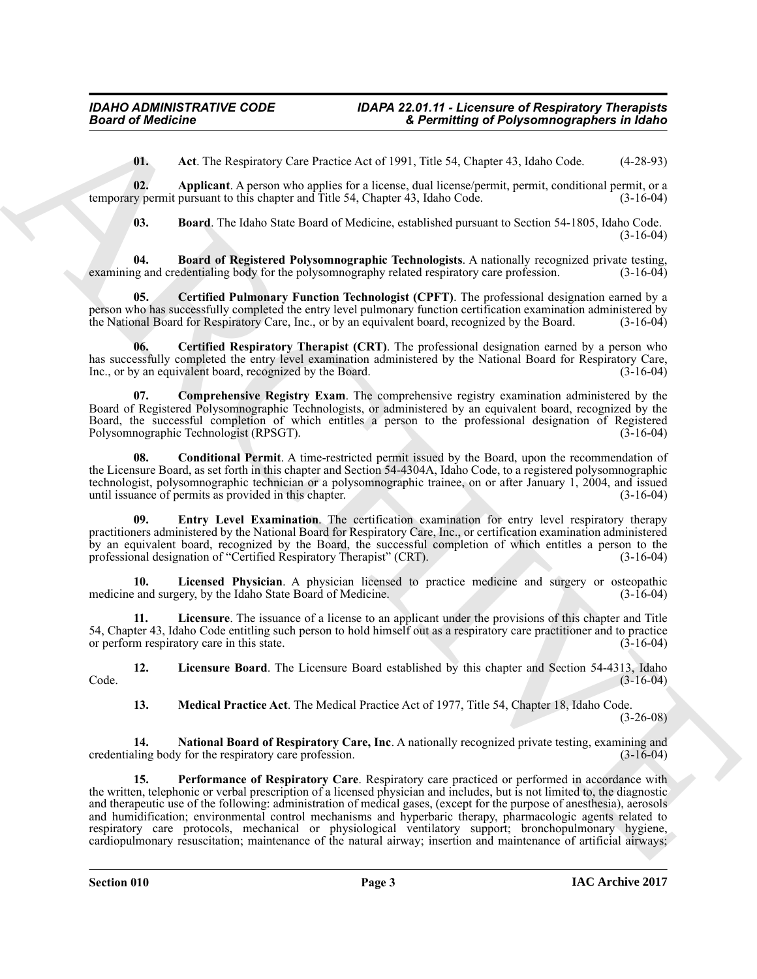<span id="page-2-1"></span><span id="page-2-0"></span>**01. Act**. The Respiratory Care Practice Act of 1991, Title 54, Chapter 43, Idaho Code. (4-28-93)

**02. Applicant**. A person who applies for a license, dual license/permit, permit, conditional permit, or a temporary permit pursuant to this chapter and Title 54, Chapter 43, Idaho Code. (3-16-04)

<span id="page-2-4"></span><span id="page-2-3"></span><span id="page-2-2"></span>**03. Board**. The Idaho State Board of Medicine, established pursuant to Section 54-1805, Idaho Code. (3-16-04)

**04. Board of Registered Polysomnographic Technologists**. A nationally recognized private testing, 19 and credentialing body for the polysomnography related respiratory care profession. (3-16-04) examining and credentialing body for the polysomnography related respiratory care profession.

**05. Certified Pulmonary Function Technologist (CPFT)**. The professional designation earned by a person who has successfully completed the entry level pulmonary function certification examination administered by the National Board for Respiratory Care, Inc., or by an equivalent board, recognized by the Board. (3-16-04)

<span id="page-2-5"></span>**06. Certified Respiratory Therapist (CRT)**. The professional designation earned by a person who has successfully completed the entry level examination administered by the National Board for Respiratory Care, Inc., or by an equivalent board, recognized by the Board. (3-16-04)

<span id="page-2-6"></span>**07. Comprehensive Registry Exam**. The comprehensive registry examination administered by the Board of Registered Polysomnographic Technologists, or administered by an equivalent board, recognized by the Board, the successful completion of which entitles a person to the professional designation of Registered Polysomnographic Technologist (RPSGT). Polysomnographic Technologist (RPSGT).

<span id="page-2-7"></span>**08. Conditional Permit**. A time-restricted permit issued by the Board, upon the recommendation of the Licensure Board, as set forth in this chapter and Section 54-4304A, Idaho Code, to a registered polysomnographic technologist, polysomnographic technician or a polysomnographic trainee, on or after January 1, 2004, and issued<br>until issuance of permits as provided in this chapter. until issuance of permits as provided in this chapter.

<span id="page-2-8"></span>**09. Entry Level Examination**. The certification examination for entry level respiratory therapy practitioners administered by the National Board for Respiratory Care, Inc., or certification examination administered by an equivalent board, recognized by the Board, the successful completion of which entitles a person to the professional designation of "Certified Respiratory Therapist" (CRT). (3-16-04)

<span id="page-2-9"></span>**10.** Licensed Physician. A physician licensed to practice medicine and surgery or osteopathic and surgery by the Idaho State Board of Medicine. (3-16-04) medicine and surgery, by the Idaho State Board of Medicine.

<span id="page-2-10"></span>**11. Licensure**. The issuance of a license to an applicant under the provisions of this chapter and Title 54, Chapter 43, Idaho Code entitling such person to hold himself out as a respiratory care practitioner and to practice or perform respiratory care in this state.

**12.** Licensure Board. The Licensure Board established by this chapter and Section 54-4313, Idaho (3-16-04)  $\text{Code.} \tag{3-16-04}$ 

<span id="page-2-14"></span><span id="page-2-13"></span><span id="page-2-12"></span><span id="page-2-11"></span>**13. Medical Practice Act**. The Medical Practice Act of 1977, Title 54, Chapter 18, Idaho Code.

 $(3-26-08)$ 

**14.** National Board of Respiratory Care, Inc. A nationally recognized private testing, examining and ling body for the respiratory care profession. (3-16-04) credentialing body for the respiratory care profession.

**Example of Algoritan Control Response Case Promising of Polynomiagrapher is found to the U.S. (112) and the three to the Control Research Control Research (Control Research Control Research Control Research Control Resea 15. Performance of Respiratory Care**. Respiratory care practiced or performed in accordance with the written, telephonic or verbal prescription of a licensed physician and includes, but is not limited to, the diagnostic and therapeutic use of the following: administration of medical gases, (except for the purpose of anesthesia), aerosols and humidification; environmental control mechanisms and hyperbaric therapy, pharmacologic agents related to respiratory care protocols, mechanical or physiological ventilatory support; bronchopulmonary hygiene, cardiopulmonary resuscitation; maintenance of the natural airway; insertion and maintenance of artificial airways;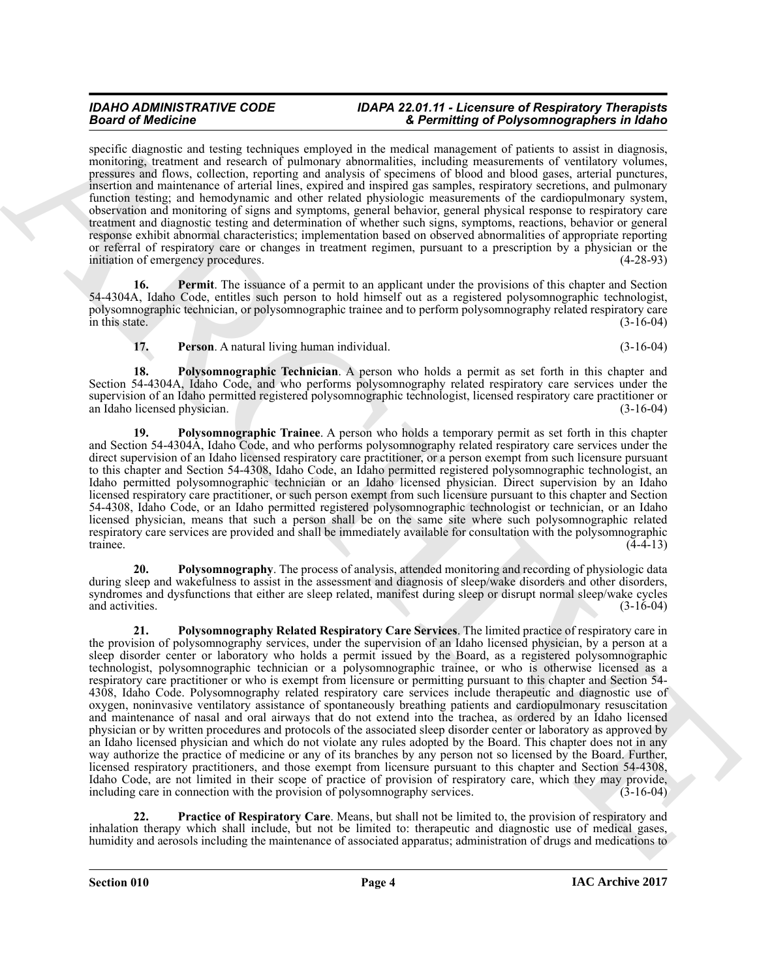specific diagnostic and testing techniques employed in the medical management of patients to assist in diagnosis, monitoring, treatment and research of pulmonary abnormalities, including measurements of ventilatory volumes, pressures and flows, collection, reporting and analysis of specimens of blood and blood gases, arterial punctures, insertion and maintenance of arterial lines, expired and inspired gas samples, respiratory secretions, and pulmonary function testing; and hemodynamic and other related physiologic measurements of the cardiopulmonary system, observation and monitoring of signs and symptoms, general behavior, general physical response to respiratory care treatment and diagnostic testing and determination of whether such signs, symptoms, reactions, behavior or general response exhibit abnormal characteristics; implementation based on observed abnormalities of appropriate reporting or referral of respiratory care or changes in treatment regimen, pursuant to a prescription by a physician or the initiation of emergency procedures. (4-28-93)

**16. Permit**. The issuance of a permit to an applicant under the provisions of this chapter and Section 54-4304A, Idaho Code, entitles such person to hold himself out as a registered polysomnographic technologist, polysomnographic technician, or polysomnographic trainee and to perform polysomnography related respiratory care in this state.  $(3-16-04)$ 

<span id="page-3-3"></span><span id="page-3-2"></span><span id="page-3-1"></span><span id="page-3-0"></span>**17. Person**. A natural living human individual. (3-16-04)

**18. Polysomnographic Technician**. A person who holds a permit as set forth in this chapter and Section 54-4304A, Idaho Code, and who performs polysomnography related respiratory care services under the supervision of an Idaho permitted registered polysomnographic technologist, licensed respiratory care practitioner or<br>(3-16-04) (3-16-04) an Idaho licensed physician.

**19. Polysomnographic Trainee**. A person who holds a temporary permit as set forth in this chapter and Section 54-4304A, Idaho Code, and who performs polysomnography related respiratory care services under the direct supervision of an Idaho licensed respiratory care practitioner, or a person exempt from such licensure pursuant to this chapter and Section 54-4308, Idaho Code, an Idaho permitted registered polysomnographic technologist, an Idaho permitted polysomnographic technician or an Idaho licensed physician. Direct supervision by an Idaho licensed respiratory care practitioner, or such person exempt from such licensure pursuant to this chapter and Section 54-4308, Idaho Code, or an Idaho permitted registered polysomnographic technologist or technician, or an Idaho licensed physician, means that such a person shall be on the same site where such polysomnographic related respiratory care services are provided and shall be immediately available for consultation with the polysomnographic trainee. (4-4-13) trainee.  $(4-4-13)$ 

<span id="page-3-5"></span><span id="page-3-4"></span>**20. Polysomnography**. The process of analysis, attended monitoring and recording of physiologic data during sleep and wakefulness to assist in the assessment and diagnosis of sleep/wake disorders and other disorders, syndromes and dysfunctions that either are sleep related, manifest during sleep or disrupt normal sleep/wake cycles and activities. (3-16-04) and activities. (3-16-04) (3-16-04)

Bearing the distribution of the state of the state of the state of the state of the state of the state of the state of the state of the state of the state of the state of the state of the state of the state of the state o **21. Polysomnography Related Respiratory Care Services**. The limited practice of respiratory care in the provision of polysomnography services, under the supervision of an Idaho licensed physician, by a person at a sleep disorder center or laboratory who holds a permit issued by the Board, as a registered polysomnographic technologist, polysomnographic technician or a polysomnographic trainee, or who is otherwise licensed as a respiratory care practitioner or who is exempt from licensure or permitting pursuant to this chapter and Section 54- 4308, Idaho Code. Polysomnography related respiratory care services include therapeutic and diagnostic use of oxygen, noninvasive ventilatory assistance of spontaneously breathing patients and cardiopulmonary resuscitation and maintenance of nasal and oral airways that do not extend into the trachea, as ordered by an Idaho licensed physician or by written procedures and protocols of the associated sleep disorder center or laboratory as approved by an Idaho licensed physician and which do not violate any rules adopted by the Board. This chapter does not in any way authorize the practice of medicine or any of its branches by any person not so licensed by the Board. Further, licensed respiratory practitioners, and those exempt from licensure pursuant to this chapter and Section 54-4308, Idaho Code, are not limited in their scope of practice of provision of respiratory care, which they may provide, including care in connection with the provision of polysomnography services. (3-16-04) including care in connection with the provision of polysomnography services.

<span id="page-3-6"></span>**22. Practice of Respiratory Care**. Means, but shall not be limited to, the provision of respiratory and inhalation therapy which shall include, but not be limited to: therapeutic and diagnostic use of medical gases, humidity and aerosols including the maintenance of associated apparatus; administration of drugs and medications to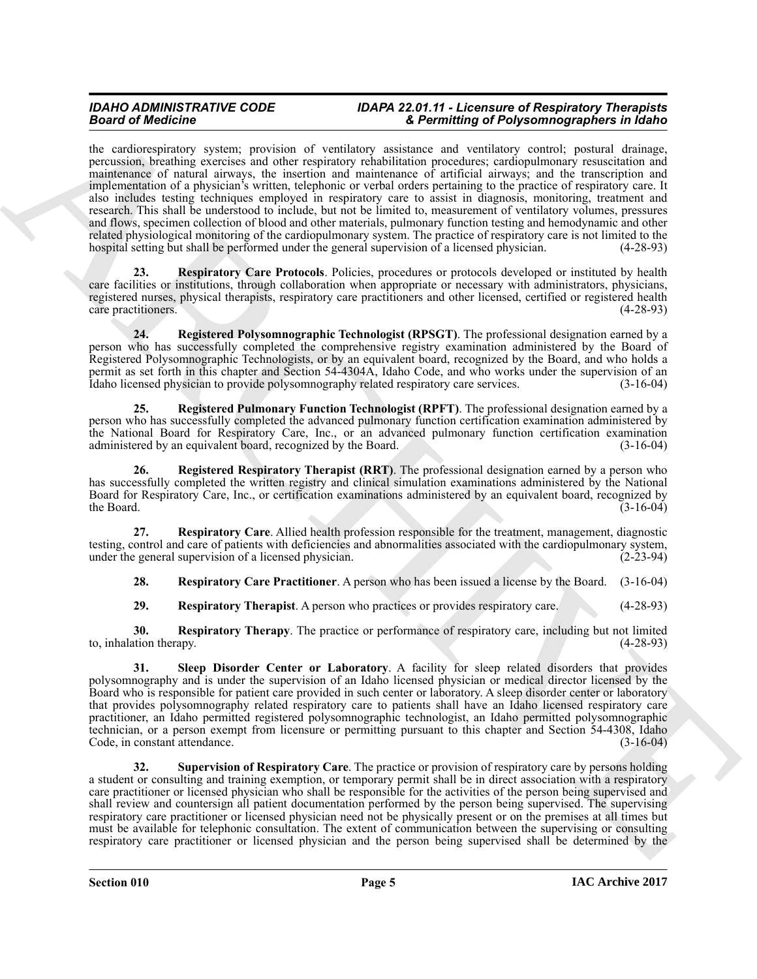Beat of Modelness stream and the continue of the main of Phytomagna Chinach Chinach Chinach Chinach Chinach Chinach Chinach Chinach Chinach Chinach Chinach Chinach Chinach Chinach Chinach Chinach Chinach Chinach Chinach C the cardiorespiratory system; provision of ventilatory assistance and ventilatory control; postural drainage, percussion, breathing exercises and other respiratory rehabilitation procedures; cardiopulmonary resuscitation and maintenance of natural airways, the insertion and maintenance of artificial airways; and the transcription and implementation of a physician's written, telephonic or verbal orders pertaining to the practice of respiratory care. It also includes testing techniques employed in respiratory care to assist in diagnosis, monitoring, treatment and research. This shall be understood to include, but not be limited to, measurement of ventilatory volumes, pressures and flows, specimen collection of blood and other materials, pulmonary function testing and hemodynamic and other related physiological monitoring of the cardiopulmonary system. The practice of respiratory care is not limited to the hospital setting but shall be performed under the general supervision of a licensed physician. (4-28-93)

<span id="page-4-5"></span>**23. Respiratory Care Protocols**. Policies, procedures or protocols developed or instituted by health care facilities or institutions, through collaboration when appropriate or necessary with administrators, physicians, registered nurses, physical therapists, respiratory care practitioners and other licensed, certified or registered health care practitioners. (4-28-93) care practitioners.

<span id="page-4-0"></span>**24. Registered Polysomnographic Technologist (RPSGT)**. The professional designation earned by a person who has successfully completed the comprehensive registry examination administered by the Board of Registered Polysomnographic Technologists, or by an equivalent board, recognized by the Board, and who holds a permit as set forth in this chapter and Section 54-4304A, Idaho Code, and who works under the supervision of an Idaho licensed physician to provide polysomnography related respiratory care services. (3-16-04)

<span id="page-4-1"></span>**25. Registered Pulmonary Function Technologist (RPFT)**. The professional designation earned by a person who has successfully completed the advanced pulmonary function certification examination administered by the National Board for Respiratory Care, Inc., or an advanced pulmonary function certification examination administered by an equivalent board, recognized by the Board. (3-16-04)

<span id="page-4-2"></span>**26. Registered Respiratory Therapist (RRT)**. The professional designation earned by a person who has successfully completed the written registry and clinical simulation examinations administered by the National Board for Respiratory Care, Inc., or certification examinations administered by an equivalent board, recognized by the Board. (3-16-04) the Board.  $(3-16-04)$ 

**27. Respiratory Care**. Allied health profession responsible for the treatment, management, diagnostic testing, control and care of patients with deficiencies and abnormalities associated with the cardiopulmonary system, under the general supervision of a licensed physician. (2-23-94)

<span id="page-4-4"></span><span id="page-4-3"></span>**28. Respiratory Care Practitioner**. A person who has been issued a license by the Board. (3-16-04)

<span id="page-4-8"></span><span id="page-4-7"></span><span id="page-4-6"></span>**29. Respiratory Therapist**. A person who practices or provides respiratory care. (4-28-93)

**30. Respiratory Therapy**. The practice or performance of respiratory care, including but not limited tion therapy. (4-28-93) to, inhalation therapy.

**31. Sleep Disorder Center or Laboratory**. A facility for sleep related disorders that provides polysomnography and is under the supervision of an Idaho licensed physician or medical director licensed by the Board who is responsible for patient care provided in such center or laboratory. A sleep disorder center or laboratory that provides polysomnography related respiratory care to patients shall have an Idaho licensed respiratory care practitioner, an Idaho permitted registered polysomnographic technologist, an Idaho permitted polysomnographic technician, or a person exempt from licensure or permitting pursuant to this chapter and Section 54-4308, Idaho<br>Code, in constant attendance. (3-16-04) Code, in constant attendance.

<span id="page-4-9"></span>**32. Supervision of Respiratory Care**. The practice or provision of respiratory care by persons holding a student or consulting and training exemption, or temporary permit shall be in direct association with a respiratory care practitioner or licensed physician who shall be responsible for the activities of the person being supervised and shall review and countersign all patient documentation performed by the person being supervised. The supervising respiratory care practitioner or licensed physician need not be physically present or on the premises at all times but must be available for telephonic consultation. The extent of communication between the supervising or consulting respiratory care practitioner or licensed physician and the person being supervised shall be determined by the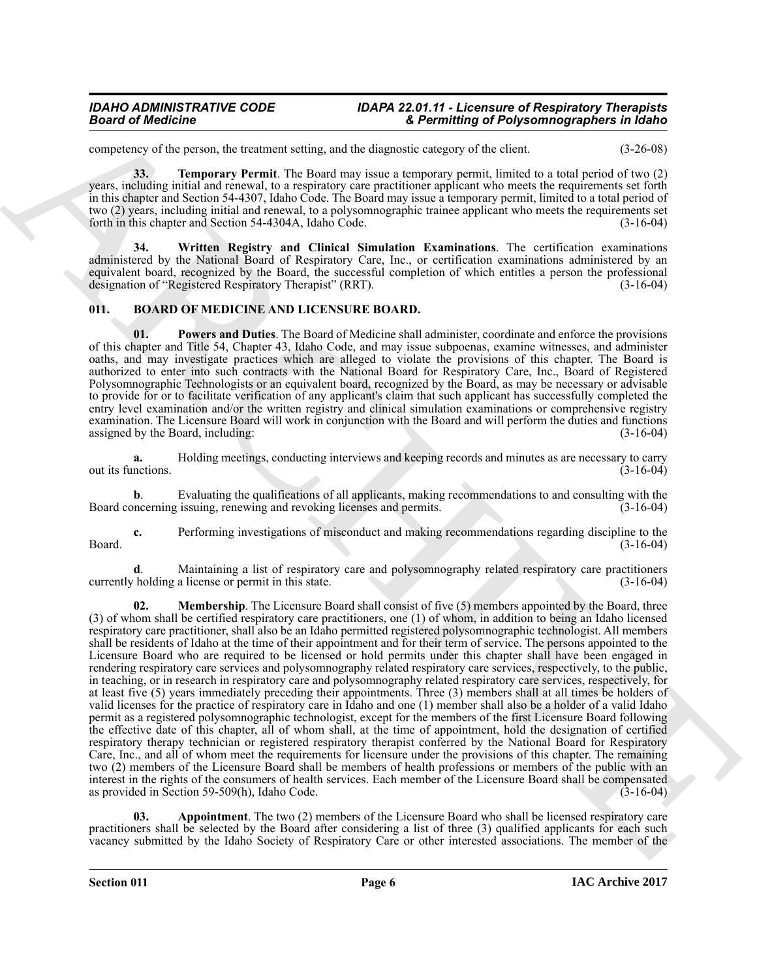competency of the person, the treatment setting, and the diagnostic category of the client. (3-26-08)

<span id="page-5-5"></span>**33. Temporary Permit**. The Board may issue a temporary permit, limited to a total period of two (2) years, including initial and renewal, to a respiratory care practitioner applicant who meets the requirements set forth in this chapter and Section 54-4307, Idaho Code. The Board may issue a temporary permit, limited to a total period of two (2) years, including initial and renewal, to a polysomnographic trainee applicant who meets the requirements set forth in this chapter and Section 54-4304A, Idaho Code.

<span id="page-5-6"></span>**34. Written Registry and Clinical Simulation Examinations**. The certification examinations administered by the National Board of Respiratory Care, Inc., or certification examinations administered by an equivalent board, recognized by the Board, the successful completion of which entitles a person the professional designation of "Registered Respiratory Therapist" (RRT). designation of "Registered Respiratory Therapist" (RRT).

### <span id="page-5-1"></span><span id="page-5-0"></span>**011. BOARD OF MEDICINE AND LICENSURE BOARD.**

<span id="page-5-4"></span>**01. Powers and Duties**. The Board of Medicine shall administer, coordinate and enforce the provisions of this chapter and Title 54, Chapter 43, Idaho Code, and may issue subpoenas, examine witnesses, and administer oaths, and may investigate practices which are alleged to violate the provisions of this chapter. The Board is authorized to enter into such contracts with the National Board for Respiratory Care, Inc., Board of Registered Polysomnographic Technologists or an equivalent board, recognized by the Board, as may be necessary or advisable to provide for or to facilitate verification of any applicant's claim that such applicant has successfully completed the entry level examination and/or the written registry and clinical simulation examinations or comprehensive registry examination. The Licensure Board will work in conjunction with the Board and will perform the duties and functions assigned by the Board, including: (3-16-04)

**a.** Holding meetings, conducting interviews and keeping records and minutes as are necessary to carry nctions. (3-16-04) out its functions.

**b**. Evaluating the qualifications of all applicants, making recommendations to and consulting with the increasing, renewing and revoking licenses and permits. (3-16-04) Board concerning issuing, renewing and revoking licenses and permits.

**c.** Performing investigations of misconduct and making recommendations regarding discipline to the (3-16-04) Board. (3-16-04)

<span id="page-5-3"></span>**d**. Maintaining a list of respiratory care and polysomnography related respiratory care practitioners holding a license or permit in this state. (3-16-04) currently holding a license or permit in this state.

Beared of Medicine<br>
and the state is a state of the state of the state of the state of the state of the state of the state of the state of the state of the state of the state of the state of the state of the state of the **02.** Membership. The Licensure Board shall consist of five (5) members appointed by the Board, three (3) of whom shall be certified respiratory care practitioners, one (1) of whom, in addition to being an Idaho licensed respiratory care practitioner, shall also be an Idaho permitted registered polysomnographic technologist. All members shall be residents of Idaho at the time of their appointment and for their term of service. The persons appointed to the Licensure Board who are required to be licensed or hold permits under this chapter shall have been engaged in rendering respiratory care services and polysomnography related respiratory care services, respectively, to the public, in teaching, or in research in respiratory care and polysomnography related respiratory care services, respectively, for at least five (5) years immediately preceding their appointments. Three (3) members shall at all times be holders of valid licenses for the practice of respiratory care in Idaho and one (1) member shall also be a holder of a valid Idaho permit as a registered polysomnographic technologist, except for the members of the first Licensure Board following the effective date of this chapter, all of whom shall, at the time of appointment, hold the designation of certified respiratory therapy technician or registered respiratory therapist conferred by the National Board for Respiratory Care, Inc., and all of whom meet the requirements for licensure under the provisions of this chapter. The remaining two (2) members of the Licensure Board shall be members of health professions or members of the public with an interest in the rights of the consumers of health services. Each member of the Licensure Board shall be compensated as provided in Section 59-509(h), Idaho Code. (3-16-04) as provided in Section  $59-509(h)$ , Idaho Code.

<span id="page-5-2"></span>**03. Appointment**. The two (2) members of the Licensure Board who shall be licensed respiratory care practitioners shall be selected by the Board after considering a list of three (3) qualified applicants for each such vacancy submitted by the Idaho Society of Respiratory Care or other interested associations. The member of the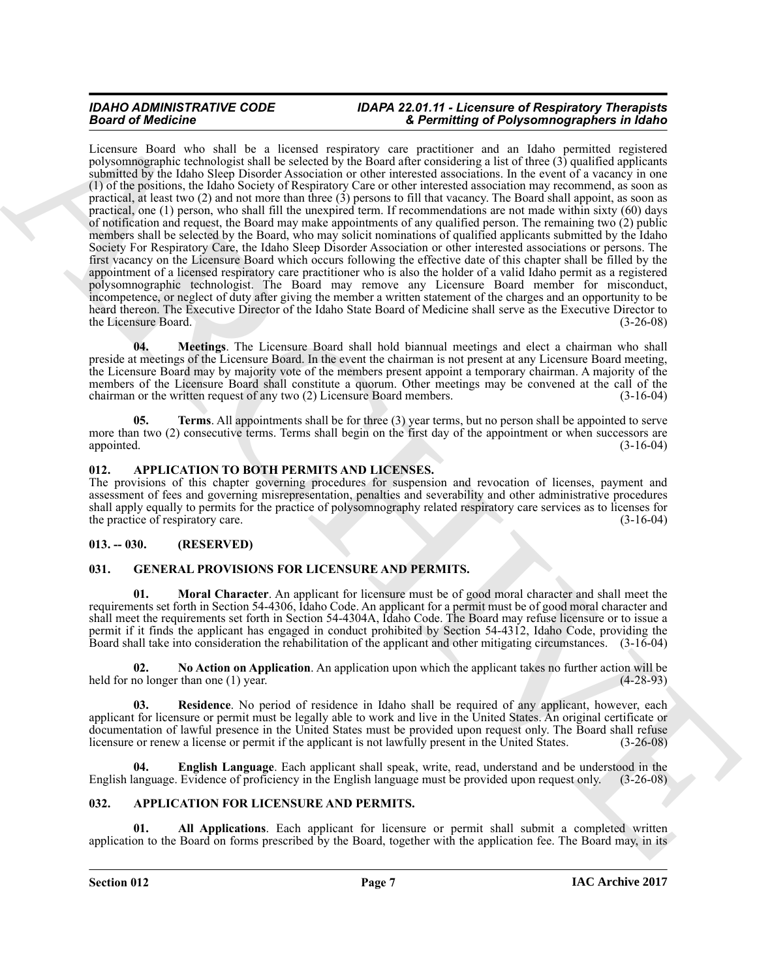**Example of the three spaces and let us to consider the entropy of Poissing of Poissing and Schwarz and Archives and the spaces and the space of the space of the space of the space of the space of the space of the space o** Licensure Board who shall be a licensed respiratory care practitioner and an Idaho permitted registered polysomnographic technologist shall be selected by the Board after considering a list of three (3) qualified applicants submitted by the Idaho Sleep Disorder Association or other interested associations. In the event of a vacancy in one (1) of the positions, the Idaho Society of Respiratory Care or other interested association may recommend, as soon as practical, at least two  $(2)$  and not more than three  $(3)$  persons to fill that vacancy. The Board shall appoint, as soon as practical, one (1) person, who shall fill the unexpired term. If recommendations are not made within sixty (60) days of notification and request, the Board may make appointments of any qualified person. The remaining two (2) public members shall be selected by the Board, who may solicit nominations of qualified applicants submitted by the Idaho Society For Respiratory Care, the Idaho Sleep Disorder Association or other interested associations or persons. The first vacancy on the Licensure Board which occurs following the effective date of this chapter shall be filled by the appointment of a licensed respiratory care practitioner who is also the holder of a valid Idaho permit as a registered polysomnographic technologist. The Board may remove any Licensure Board member for misconduct, incompetence, or neglect of duty after giving the member a written statement of the charges and an opportunity to be heard thereon. The Executive Director of the Idaho State Board of Medicine shall serve as the Executive Director to the Licensure Board. (3-26-08)

<span id="page-6-7"></span>**04. Meetings**. The Licensure Board shall hold biannual meetings and elect a chairman who shall preside at meetings of the Licensure Board. In the event the chairman is not present at any Licensure Board meeting, the Licensure Board may by majority vote of the members present appoint a temporary chairman. A majority of the members of the Licensure Board shall constitute a quorum. Other meetings may be convened at the call of the chairman or the written request of any two (2) Licensure Board members. (3-16-04)

<span id="page-6-8"></span>**05. Terms**. All appointments shall be for three (3) year terms, but no person shall be appointed to serve more than two (2) consecutive terms. Terms shall begin on the first day of the appointment or when successors are appointed. (3-16-04) (3-16-04)

### <span id="page-6-6"></span><span id="page-6-0"></span>**012. APPLICATION TO BOTH PERMITS AND LICENSES.**

The provisions of this chapter governing procedures for suspension and revocation of licenses, payment and assessment of fees and governing misrepresentation, penalties and severability and other administrative procedures shall apply equally to permits for the practice of polysomnography related respiratory care services as to licenses for the practice of respiratory care. (3-16-04) the practice of respiratory care.

### <span id="page-6-1"></span>**013. -- 030. (RESERVED)**

### <span id="page-6-9"></span><span id="page-6-2"></span>**031. GENERAL PROVISIONS FOR LICENSURE AND PERMITS.**

<span id="page-6-11"></span>**Moral Character**. An applicant for licensure must be of good moral character and shall meet the requirements set forth in Section 54-4306, Idaho Code. An applicant for a permit must be of good moral character and shall meet the requirements set forth in Section 54-4304A, Idaho Code. The Board may refuse licensure or to issue a permit if it finds the applicant has engaged in conduct prohibited by Section 54-4312, Idaho Code, providing the Board shall take into consideration the rehabilitation of the applicant and other mitigating circumstances. (3-16-04)

<span id="page-6-12"></span>**02.** No Action on Application. An application upon which the applicant takes no further action will be no longer than one (1) year. held for no longer than one  $(1)$  year.

<span id="page-6-13"></span>**03. Residence**. No period of residence in Idaho shall be required of any applicant, however, each applicant for licensure or permit must be legally able to work and live in the United States. An original certificate or documentation of lawful presence in the United States must be provided upon request only. The Board shall refuse licensure or renew a license or permit if the applicant is not lawfully present in the United States. (3-26-0 licensure or renew a license or permit if the applicant is not lawfully present in the United States.

<span id="page-6-10"></span>**04. English Language**. Each applicant shall speak, write, read, understand and be understood in the English language. Evidence of proficiency in the English language must be provided upon request only. (3-26-08)

### <span id="page-6-4"></span><span id="page-6-3"></span>**032. APPLICATION FOR LICENSURE AND PERMITS.**

<span id="page-6-5"></span>**01. All Applications**. Each applicant for licensure or permit shall submit a completed written application to the Board on forms prescribed by the Board, together with the application fee. The Board may, in its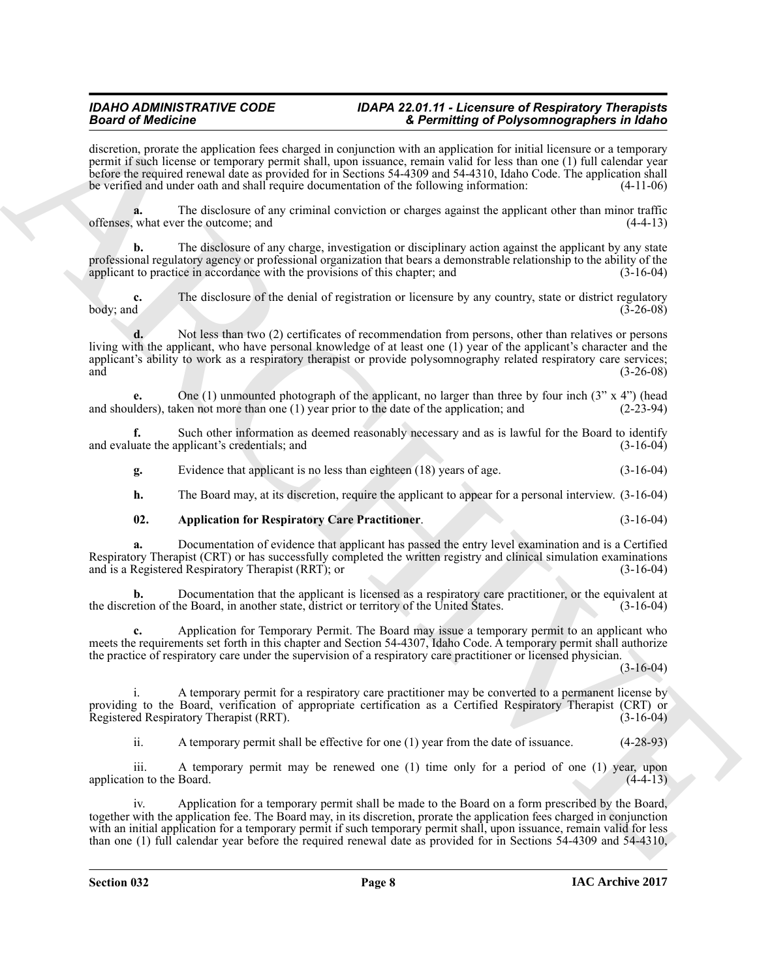discretion, prorate the application fees charged in conjunction with an application for initial licensure or a temporary permit if such license or temporary permit shall, upon issuance, remain valid for less than one (1) full calendar year before the required renewal date as provided for in Sections 54-4309 and 54-4310, Idaho Code. The application shall be verified and under oath and shall require documentation of the following information: (4-11-06)

The disclosure of any criminal conviction or charges against the applicant other than minor traffic<br>er the outcome; and (4-4-13) offenses, what ever the outcome; and

**b.** The disclosure of any charge, investigation or disciplinary action against the applicant by any state professional regulatory agency or professional organization that bears a demonstrable relationship to the ability of the applicant to practice in accordance with the provisions of this chapter; and (3-16-04)

**c.** The disclosure of the denial of registration or licensure by any country, state or district regulatory body; and  $(3-26-08)$  $\frac{1}{3}$  body; and  $\frac{3-26-08}{3}$ 

Beautiful dentified a system of the state and the state and the state and the state and the state and the state and the state and the state and the state and the state and the state and the state and the state and the sta **d.** Not less than two (2) certificates of recommendation from persons, other than relatives or persons living with the applicant, who have personal knowledge of at least one (1) year of the applicant's character and the applicant's ability to work as a respiratory therapist or provide polysomnography related respiratory care services; and  $(3-26-08)$ 

**e.** One (1) unmounted photograph of the applicant, no larger than three by four inch  $(3'' \times 4'')$  (head lders), taken not more than one (1) year prior to the date of the application; and  $(2-23-94)$ and shoulders), taken not more than one  $(1)$  year prior to the date of the application; and

**f.** Such other information as deemed reasonably necessary and as is lawful for the Board to identify and evaluate the applicant's credentials; and (3-16-04) (3-16-04)

**g.** Evidence that applicant is no less than eighteen (18) years of age. (3-16-04)

**h.** The Board may, at its discretion, require the applicant to appear for a personal interview.  $(3-16-04)$ 

### <span id="page-7-0"></span>**02. Application for Respiratory Care Practitioner**. (3-16-04)

**a.** Documentation of evidence that applicant has passed the entry level examination and is a Certified Respiratory Therapist (CRT) or has successfully completed the written registry and clinical simulation examinations and is a Registered Respiratory Therapist (RRT); or and is a Registered Respiratory Therapist (RRT); or

**b.** Documentation that the applicant is licensed as a respiratory care practitioner, or the equivalent at etion of the Board, in another state, district or territory of the United States.  $(3-16-04)$ the discretion of the Board, in another state, district or territory of the United States.

**c.** Application for Temporary Permit. The Board may issue a temporary permit to an applicant who meets the requirements set forth in this chapter and Section 54-4307, Idaho Code. A temporary permit shall authorize the practice of respiratory care under the supervision of a respiratory care practitioner or licensed physician.

(3-16-04)

i. A temporary permit for a respiratory care practitioner may be converted to a permanent license by providing to the Board, verification of appropriate certification as a Certified Respiratory Therapist (CRT) or<br>Registered Respiratory Therapist (RRT). Registered Respiratory Therapist (RRT).

ii. A temporary permit shall be effective for one (1) year from the date of issuance. (4-28-93)

iii. A temporary permit may be renewed one (1) time only for a period of one (1) year, upon application to the Board. (4-4-13)

iv. Application for a temporary permit shall be made to the Board on a form prescribed by the Board, together with the application fee. The Board may, in its discretion, prorate the application fees charged in conjunction with an initial application for a temporary permit if such temporary permit shall, upon issuance, remain valid for less than one (1) full calendar year before the required renewal date as provided for in Sections 54-4309 and 54-4310,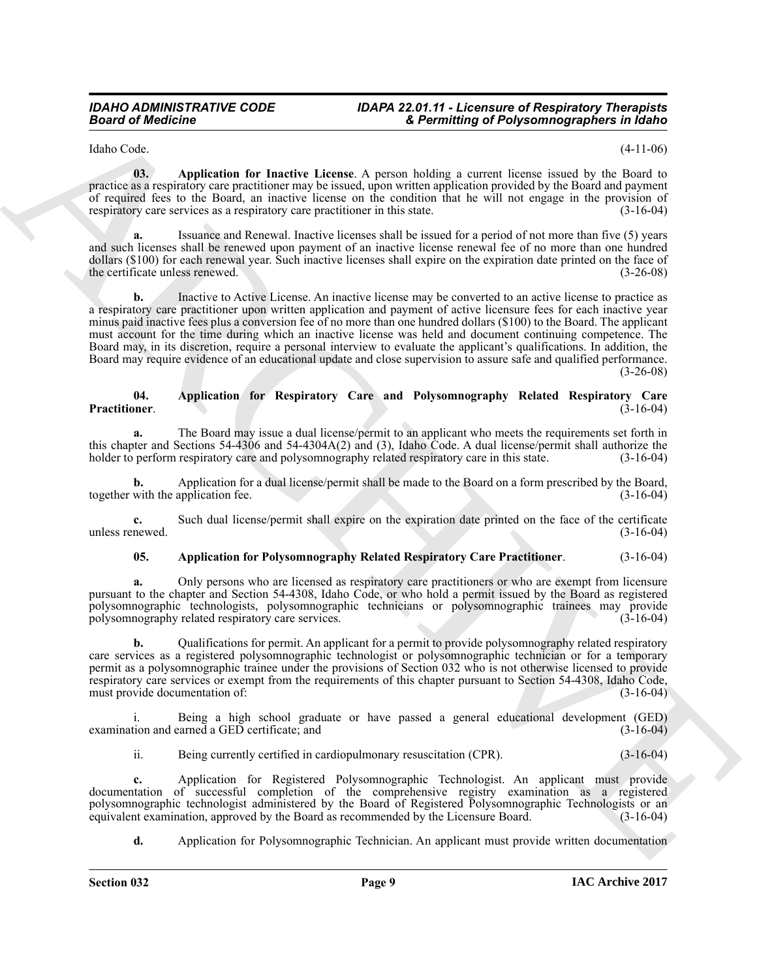<span id="page-8-0"></span>Idaho Code. (4-11-06)

**03. Application for Inactive License**. A person holding a current license issued by the Board to practice as a respiratory care practitioner may be issued, upon written application provided by the Board and payment of required fees to the Board, an inactive license on the condition that he will not engage in the provision of respiratory care services as a respiratory care practitioner in this state. (3-16-04)

**a.** Issuance and Renewal. Inactive licenses shall be issued for a period of not more than five (5) years and such licenses shall be renewed upon payment of an inactive license renewal fee of no more than one hundred dollars (\$100) for each renewal year. Such inactive licenses shall expire on the expiration date printed on the face of the certificate unless renewed. (3-26-08) the certificate unless renewed.

**Example of Address Control Control Controlling Chipson mapping to the latter of the state of the state of the state of the state of the state of the state of the state of the state of the state of the state of the state b.** Inactive to Active License. An inactive license may be converted to an active license to practice as a respiratory care practitioner upon written application and payment of active licensure fees for each inactive year minus paid inactive fees plus a conversion fee of no more than one hundred dollars (\$100) to the Board. The applicant must account for the time during which an inactive license was held and document continuing competence. The Board may, in its discretion, require a personal interview to evaluate the applicant's qualifications. In addition, the Board may require evidence of an educational update and close supervision to assure safe and qualified performance. (3-26-08)

#### <span id="page-8-2"></span>**04. Application for Respiratory Care and Polysomnography Related Respiratory Care Practitioner**. (3-16-04)

**a.** The Board may issue a dual license/permit to an applicant who meets the requirements set forth in this chapter and Sections 54-4306 and 54-4304A(2) and (3), Idaho Code. A dual license/permit shall authorize the holder to perform respiratory care and polysomnography related respiratory care in this state.  $(3-16-04)$ holder to perform respiratory care and polysomnography related respiratory care in this state.

**b.** Application for a dual license/permit shall be made to the Board on a form prescribed by the Board, with the application fee.  $(3-16-04)$ together with the application fee.

**c.** Such dual license/permit shall expire on the expiration date printed on the face of the certificate newed.  $(3-16-04)$ unless renewed.

### <span id="page-8-1"></span>**05. Application for Polysomnography Related Respiratory Care Practitioner**. (3-16-04)

**a.** Only persons who are licensed as respiratory care practitioners or who are exempt from licensure pursuant to the chapter and Section 54-4308, Idaho Code, or who hold a permit issued by the Board as registered polysomnographic technologists, polysomnographic technicians or polysomnographic trainees may provide<br>polysomnography related respiratory care services. (3-16-04) polysomnography related respiratory care services.

**b.** Qualifications for permit. An applicant for a permit to provide polysomnography related respiratory care services as a registered polysomnographic technologist or polysomnographic technician or for a temporary permit as a polysomnographic trainee under the provisions of Section 032 who is not otherwise licensed to provide respiratory care services or exempt from the requirements of this chapter pursuant to Section 54-4308, Idaho Code, must provide documentation of: (3-16-04) must provide documentation of:

i. Being a high school graduate or have passed a general educational development (GED) examination and earned a GED certificate; and (3-16-04)

ii. Being currently certified in cardiopulmonary resuscitation (CPR). (3-16-04)

**c.** Application for Registered Polysomnographic Technologist. An applicant must provide documentation of successful completion of the comprehensive registry examination as a registered polysomnographic technologist administered by the Board of Registered Polysomnographic Technologists or an equivalent examination, approved by the Board as recommended by the Licensure Board. (3-16-04) equivalent examination, approved by the Board as recommended by the Licensure Board.

**d.** Application for Polysomnographic Technician. An applicant must provide written documentation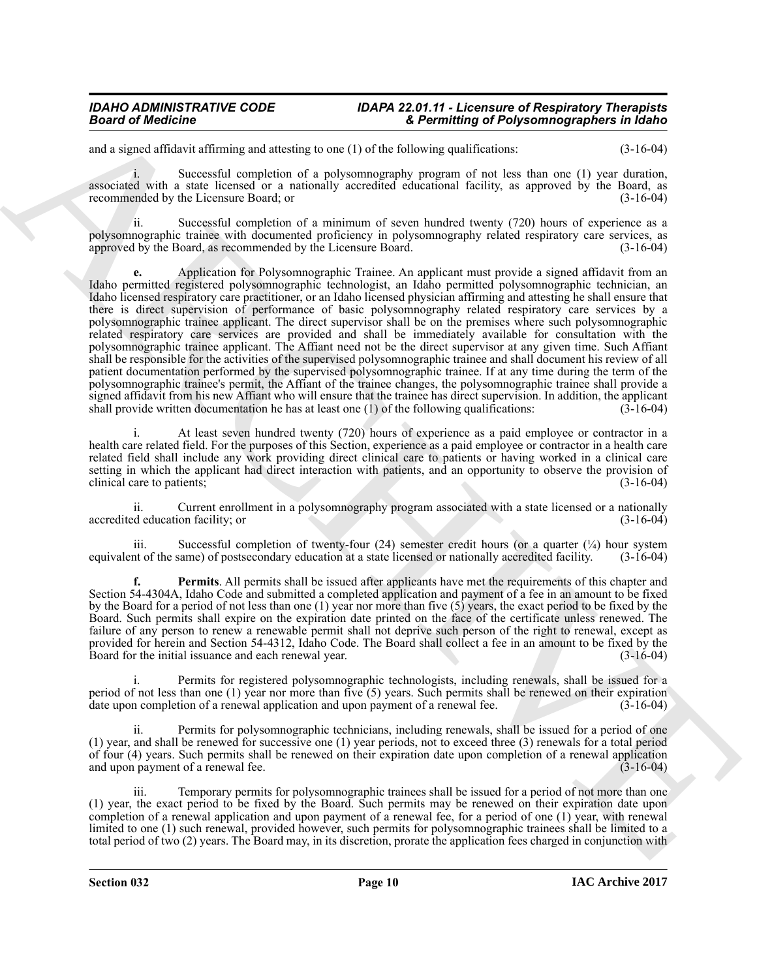and a signed affidavit affirming and attesting to one (1) of the following qualifications: (3-16-04)

Successful completion of a polysomnography program of not less than one (1) year duration, associated with a state licensed or a nationally accredited educational facility, as approved by the Board, as recommended by the Licensure Board; or (3-16-04)

ii. Successful completion of a minimum of seven hundred twenty (720) hours of experience as a polysomnographic trainee with documented proficiency in polysomnography related respiratory care services, as approved by the Board, as recommended by the Licensure Board. (3-16-04)

**Example of Address**<br>
Example of Address<br>
Example of Address<br>
Conservation of Address Conservation of Address Conservation of Address Conservation of Address Conservation of Address Conservation of Address Conservation of **e.** Application for Polysomnographic Trainee. An applicant must provide a signed affidavit from an Idaho permitted registered polysomnographic technologist, an Idaho permitted polysomnographic technician, an Idaho licensed respiratory care practitioner, or an Idaho licensed physician affirming and attesting he shall ensure that there is direct supervision of performance of basic polysomnography related respiratory care services by a polysomnographic trainee applicant. The direct supervisor shall be on the premises where such polysomnographic related respiratory care services are provided and shall be immediately available for consultation with the polysomnographic trainee applicant. The Affiant need not be the direct supervisor at any given time. Such Affiant shall be responsible for the activities of the supervised polysomnographic trainee and shall document his review of all patient documentation performed by the supervised polysomnographic trainee. If at any time during the term of the polysomnographic trainee's permit, the Affiant of the trainee changes, the polysomnographic trainee shall provide a signed affidavit from his new Affiant who will ensure that the trainee has direct supervision. In addition, the applicant shall provide written documentation he has at least one (1) of the following qualifications:  $(3-16$ shall provide written documentation he has at least one  $(1)$  of the following qualifications:

At least seven hundred twenty (720) hours of experience as a paid employee or contractor in a health care related field. For the purposes of this Section, experience as a paid employee or contractor in a health care related field shall include any work providing direct clinical care to patients or having worked in a clinical care setting in which the applicant had direct interaction with patients, and an opportunity to observe the provision of clinical care to patients:<br>(3-16-04) clinical care to patients;

ii. Current enrollment in a polysomnography program associated with a state licensed or a nationally accredited education facility; or

Successful completion of twenty-four (24) semester credit hours (or a quarter  $(\frac{1}{4})$  hour system equivalent of the same) of postsecondary education at a state licensed or nationally accredited facility. (3-16-04)

<span id="page-9-0"></span>**f. Permits**. All permits shall be issued after applicants have met the requirements of this chapter and Section 54-4304A, Idaho Code and submitted a completed application and payment of a fee in an amount to be fixed by the Board for a period of not less than one (1) year nor more than five (5) years, the exact period to be fixed by the Board. Such permits shall expire on the expiration date printed on the face of the certificate unless renewed. The failure of any person to renew a renewable permit shall not deprive such person of the right to renewal, except as provided for herein and Section 54-4312, Idaho Code. The Board shall collect a fee in an amount to be fixed by the Board for the initial issuance and each renewal year. (3-16-04) Board for the initial issuance and each renewal year.

i. Permits for registered polysomnographic technologists, including renewals, shall be issued for a period of not less than one (1) year nor more than five (5) years. Such permits shall be renewed on their expiration date upon completion of a renewal application and upon payment of a renewal fee.  $(3-16-04)$ date upon completion of a renewal application and upon payment of a renewal fee.

ii. Permits for polysomnographic technicians, including renewals, shall be issued for a period of one (1) year, and shall be renewed for successive one (1) year periods, not to exceed three (3) renewals for a total period of four (4) years. Such permits shall be renewed on their expiration date upon completion of a renewal application and upon payment of a renewal fee. and upon payment of a renewal fee.

iii. Temporary permits for polysomnographic trainees shall be issued for a period of not more than one (1) year, the exact period to be fixed by the Board. Such permits may be renewed on their expiration date upon completion of a renewal application and upon payment of a renewal fee, for a period of one (1) year, with renewal limited to one (1) such renewal, provided however, such permits for polysomnographic trainees shall be limited to a total period of two (2) years. The Board may, in its discretion, prorate the application fees charged in conjunction with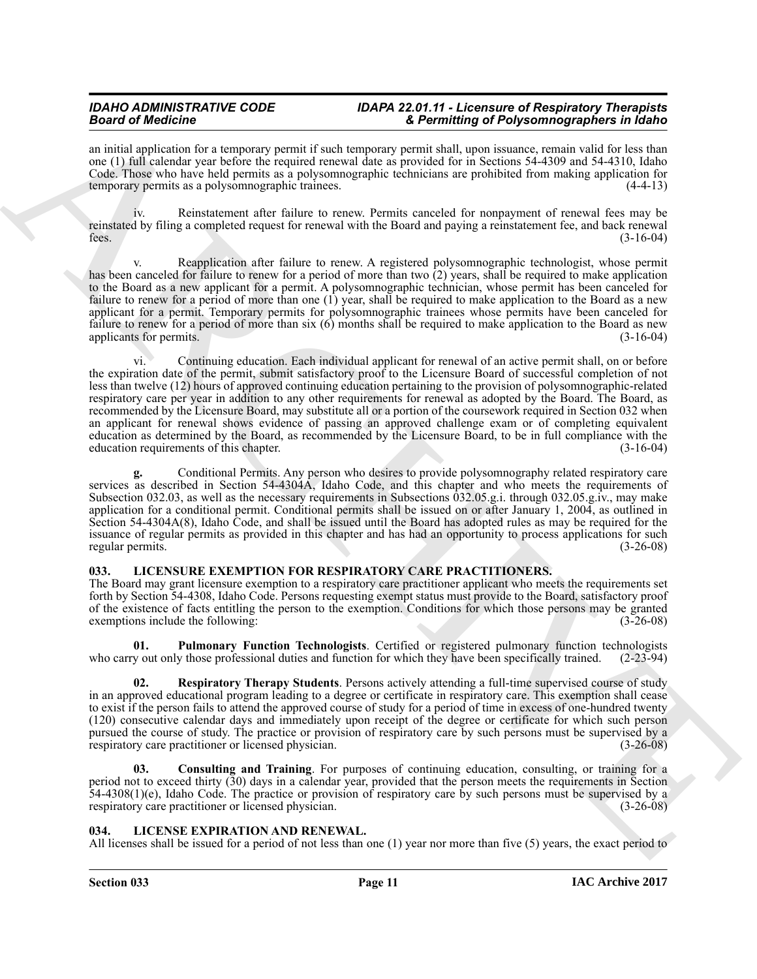an initial application for a temporary permit if such temporary permit shall, upon issuance, remain valid for less than one (1) full calendar year before the required renewal date as provided for in Sections 54-4309 and 54-4310, Idaho Code. Those who have held permits as a polysomnographic technicians are prohibited from making application for temporary permits as a polysomnographic trainees. (4-4-13)

iv. Reinstatement after failure to renew. Permits canceled for nonpayment of renewal fees may be reinstated by filing a completed request for renewal with the Board and paying a reinstatement fee, and back renewal<br>(3-16-04) fees.  $(3-16-04)$ 

Reapplication after failure to renew. A registered polysomnographic technologist, whose permit has been canceled for failure to renew for a period of more than two  $(2)$  years, shall be required to make application to the Board as a new applicant for a permit. A polysomnographic technician, whose permit has been canceled for failure to renew for a period of more than one (1) year, shall be required to make application to the Board as a new applicant for a permit. Temporary permits for polysomnographic trainees whose permits have been canceled for failure to renew for a period of more than six (6) months shall be required to make application to the Board as new applicants for permits. (3-16-04)

**Since of the original star since the system constraints of Position and Position and Position 2018.**<br>
And the original star since the system of the system of the system of the system of the system of the system of the sy vi. Continuing education. Each individual applicant for renewal of an active permit shall, on or before the expiration date of the permit, submit satisfactory proof to the Licensure Board of successful completion of not less than twelve (12) hours of approved continuing education pertaining to the provision of polysomnographic-related respiratory care per year in addition to any other requirements for renewal as adopted by the Board. The Board, as recommended by the Licensure Board, may substitute all or a portion of the coursework required in Section 032 when an applicant for renewal shows evidence of passing an approved challenge exam or of completing equivalent education as determined by the Board, as recommended by the Licensure Board, to be in full compliance with the education requirements of this chapter. (3-16-04)

**g.** Conditional Permits. Any person who desires to provide polysomnography related respiratory care services as described in Section 54-4304A, Idaho Code, and this chapter and who meets the requirements of Subsection 032.03, as well as the necessary requirements in Subsections 032.05.g.i. through 032.05.g.iv., may make application for a conditional permit. Conditional permits shall be issued on or after January 1, 2004, as outlined in Section 54-4304A(8), Idaho Code, and shall be issued until the Board has adopted rules as may be required for the issuance of regular permits as provided in this chapter and has had an opportunity to process applications for such regular permits. (3-26-08)

### <span id="page-10-3"></span><span id="page-10-0"></span>**033. LICENSURE EXEMPTION FOR RESPIRATORY CARE PRACTITIONERS.**

The Board may grant licensure exemption to a respiratory care practitioner applicant who meets the requirements set forth by Section 54-4308, Idaho Code. Persons requesting exempt status must provide to the Board, satisfactory proof of the existence of facts entitling the person to the exemption. Conditions for which those persons may be granted exemptions include the following: (3-26-08)

<span id="page-10-5"></span>**01. Pulmonary Function Technologists**. Certified or registered pulmonary function technologists who carry out only those professional duties and function for which they have been specifically trained. (2-23-94)

<span id="page-10-6"></span>**02. Respiratory Therapy Students**. Persons actively attending a full-time supervised course of study in an approved educational program leading to a degree or certificate in respiratory care. This exemption shall cease to exist if the person fails to attend the approved course of study for a period of time in excess of one-hundred twenty (120) consecutive calendar days and immediately upon receipt of the degree or certificate for which such person pursued the course of study. The practice or provision of respiratory care by such persons must be supervised by a respiratory care practitioner or licensed physician. respiratory care practitioner or licensed physician.

<span id="page-10-4"></span>**03. Consulting and Training**. For purposes of continuing education, consulting, or training for a period not to exceed thirty (30) days in a calendar year, provided that the person meets the requirements in Section 54-4308(1)(e), Idaho Code. The practice or provision of respiratory care by such persons must be supervised by a respiratory care practitioner or licensed physician. (3-26-08)

### <span id="page-10-2"></span><span id="page-10-1"></span>**034. LICENSE EXPIRATION AND RENEWAL.**

All licenses shall be issued for a period of not less than one (1) year nor more than five (5) years, the exact period to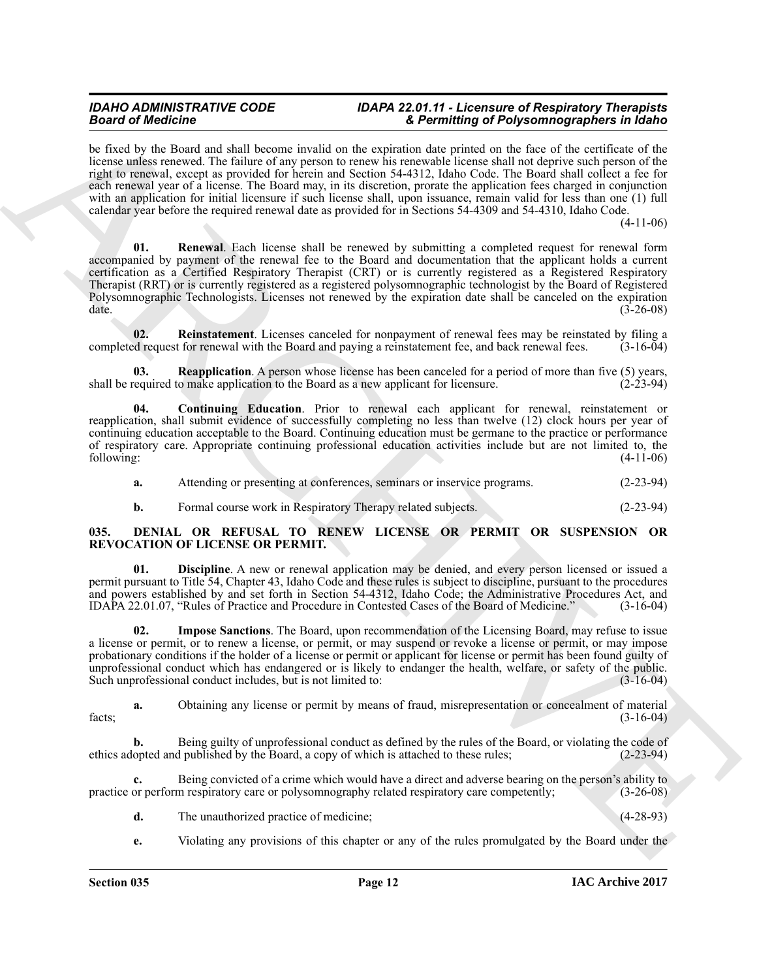<span id="page-11-7"></span>be fixed by the Board and shall become invalid on the expiration date printed on the face of the certificate of the license unless renewed. The failure of any person to renew his renewable license shall not deprive such person of the right to renewal, except as provided for herein and Section 54-4312, Idaho Code. The Board shall collect a fee for each renewal year of a license. The Board may, in its discretion, prorate the application fees charged in conjunction with an application for initial licensure if such license shall, upon issuance, remain valid for less than one (1) full calendar year before the required renewal date as provided for in Sections 54-4309 and 54-4310, Idaho Code.

(4-11-06)

Beach of Modellins and Julia and the system of the system of the system of the system of the system of the system of the system of the system of the system of the system of the system of the system of the system of the sy **01. Renewal**. Each license shall be renewed by submitting a completed request for renewal form accompanied by payment of the renewal fee to the Board and documentation that the applicant holds a current certification as a Certified Respiratory Therapist (CRT) or is currently registered as a Registered Respiratory Therapist (RRT) or is currently registered as a registered polysomnographic technologist by the Board of Registered Polysomnographic Technologists. Licenses not renewed by the expiration date shall be canceled on the expiration date. (3-26-08)

<span id="page-11-6"></span>**02.** Reinstatement. Licenses canceled for nonpayment of renewal fees may be reinstated by filing a ded request for renewal with the Board and paying a reinstatement fee, and back renewal fees. (3-16-04) completed request for renewal with the Board and paying a reinstatement fee, and back renewal fees.

<span id="page-11-5"></span>**03. Reapplication**. A person whose license has been canceled for a period of more than five (5) years, equired to make application to the Board as a new applicant for licensure. (2-23-94) shall be required to make application to the Board as a new applicant for licensure.

<span id="page-11-4"></span>**04. Continuing Education**. Prior to renewal each applicant for renewal, reinstatement or reapplication, shall submit evidence of successfully completing no less than twelve (12) clock hours per year of continuing education acceptable to the Board. Continuing education must be germane to the practice or performance of respiratory care. Appropriate continuing professional education activities include but are not limited to, the following: (4-11-06) following: (4-11-06)

**a.** Attending or presenting at conferences, seminars or inservice programs. (2-23-94)

<span id="page-11-2"></span><span id="page-11-1"></span>**b.** Formal course work in Respiratory Therapy related subjects. (2-23-94)

#### <span id="page-11-0"></span>**035. DENIAL OR REFUSAL TO RENEW LICENSE OR PERMIT OR SUSPENSION OR REVOCATION OF LICENSE OR PERMIT.**

**01. Discipline**. A new or renewal application may be denied, and every person licensed or issued a permit pursuant to Title 54, Chapter 43, Idaho Code and these rules is subject to discipline, pursuant to the procedures and powers established by and set forth in Section 54-4312, Idaho Code; the Administrative Procedures Act, and IDAPA 22.01.07, "Rules of Practice and Procedure in Contested Cases of the Board of Medicine." (3-16-04) IDAPA 22.01.07, "Rules of Practice and Procedure in Contested Cases of the Board of Medicine."

<span id="page-11-3"></span>**02. Impose Sanctions**. The Board, upon recommendation of the Licensing Board, may refuse to issue a license or permit, or to renew a license, or permit, or may suspend or revoke a license or permit, or may impose probationary conditions if the holder of a license or permit or applicant for license or permit has been found guilty of unprofessional conduct which has endangered or is likely to endanger the health, welfare, or safety of the public.<br>Such unprofessional conduct includes, but is not limited to: (3-16-04) Such unprofessional conduct includes, but is not limited to:

**a.** Obtaining any license or permit by means of fraud, misrepresentation or concealment of material (3-16-04)  $facts;$  (3-16-04)

**b.** Being guilty of unprofessional conduct as defined by the rules of the Board, or violating the code of opted and published by the Board, a copy of which is attached to these rules; (2-23-94) ethics adopted and published by the Board, a copy of which is attached to these rules;

**c.** Being convicted of a crime which would have a direct and adverse bearing on the person's ability to or perform respiratory care or polysomnography related respiratory care competently; (3-26-08) practice or perform respiratory care or polysomnography related respiratory care competently;

- **d.** The unauthorized practice of medicine; (4-28-93)
- **e.** Violating any provisions of this chapter or any of the rules promulgated by the Board under the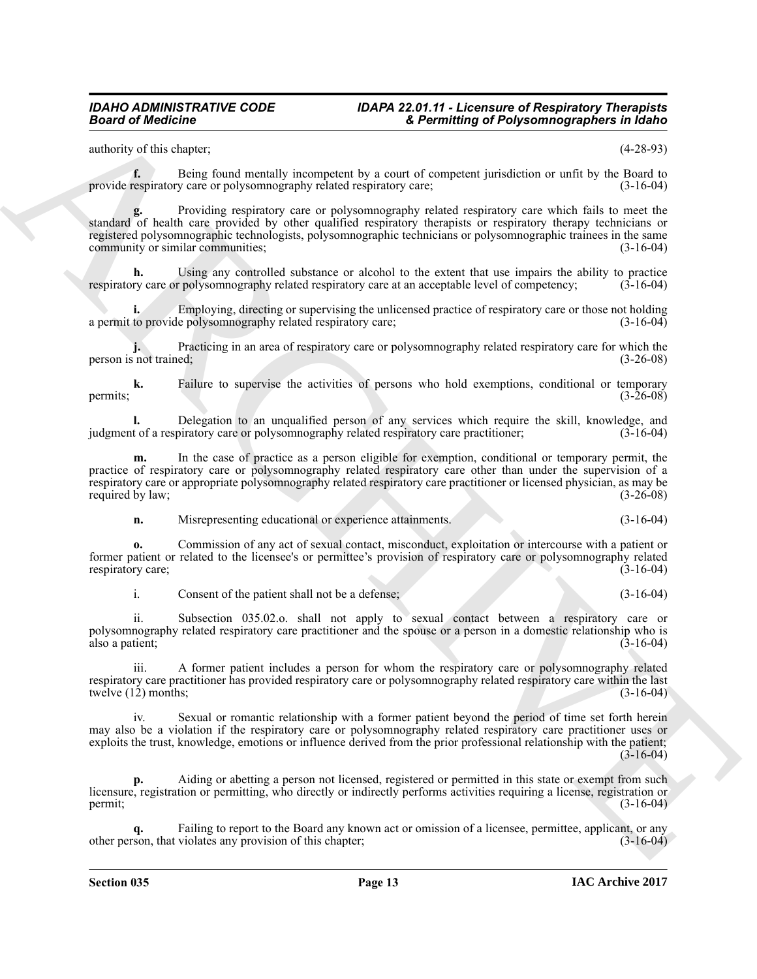authority of this chapter; (4-28-93)

**f.** Being found mentally incompetent by a court of competent jurisdiction or unfit by the Board to provide respiratory care or polysomnography related respiratory care; (3-16-04)

**Example of** *Chination*<br> **Example of** *Chinamics* $\mu$  **and**  $\mu$  **and**  $\mu$  **and**  $\mu$  **and**  $\mu$  **and**  $\mu$  **and**  $\mu$ **<br>
provide the china more of the china more of**  $\mu$  **and**  $\mu$  **and**  $\mu$  **and**  $\mu$  **and**  $\mu$  **and**  $\mu$  **and**  $\mu$  **and \mu g.** Providing respiratory care or polysomnography related respiratory care which fails to meet the standard of health care provided by other qualified respiratory therapists or respiratory therapy technicians or registered polysomnographic technologists, polysomnographic technicians or polysomnographic trainees in the same community or similar communities; (3-16-04)

**h.** Using any controlled substance or alcohol to the extent that use impairs the ability to practice ry care or polysomnography related respiratory care at an acceptable level of competency; (3-16-04) respiratory care or polysomnography related respiratory care at an acceptable level of competency;

**i.** Employing, directing or supervising the unlicensed practice of respiratory care or those not holding a permit to provide polysomnography related respiratory care; (3-16-04)

**j.** Practicing in an area of respiratory care or polysomnography related respiratory care for which the not trained;  $(3-26-08)$ person is not trained;

**k.** Failure to supervise the activities of persons who hold exemptions, conditional or temporary (3-26-08) permits;  $(3-26-08)$ 

**l.** Delegation to an unqualified person of any services which require the skill, knowledge, and t of a respiratory care or polysomnography related respiratory care practitioner; (3-16-04) judgment of a respiratory care or polysomnography related respiratory care practitioner;

**m.** In the case of practice as a person eligible for exemption, conditional or temporary permit, the practice of respiratory care or polysomnography related respiratory care other than under the supervision of a respiratory care or appropriate polysomnography related respiratory care practitioner or licensed physician, as may be required by law; (3-26-08) required by law;

**n.** Misrepresenting educational or experience attainments. (3-16-04)

**o.** Commission of any act of sexual contact, misconduct, exploitation or intercourse with a patient or former patient or related to the licensee's or permittee's provision of respiratory care or polysomnography related respiratory care: (3-16-04) respiratory care;

i. Consent of the patient shall not be a defense; (3-16-04)

ii. Subsection 035.02.o. shall not apply to sexual contact between a respiratory care or polysomnography related respiratory care practitioner and the spouse or a person in a domestic relationship who is also a patient: (3-16-04) also a patient;

iii. A former patient includes a person for whom the respiratory care or polysomnography related respiratory care practitioner has provided respiratory care or polysomnography related respiratory care within the last twelve (12) months; (3-16-04) twelve  $(1\overline{2})$  months;

iv. Sexual or romantic relationship with a former patient beyond the period of time set forth herein may also be a violation if the respiratory care or polysomnography related respiratory care practitioner uses or exploits the trust, knowledge, emotions or influence derived from the prior professional relationship with the patient;  $(3 - 16 - 04)$ 

**p.** Aiding or abetting a person not licensed, registered or permitted in this state or exempt from such licensure, registration or permitting, who directly or indirectly performs activities requiring a license, registration or  $permit;$  (3-16-04)

Failing to report to the Board any known act or omission of a licensee, permittee, applicant, or any violates any provision of this chapter: (3-16-04) other person, that violates any provision of this chapter; (3-16-04)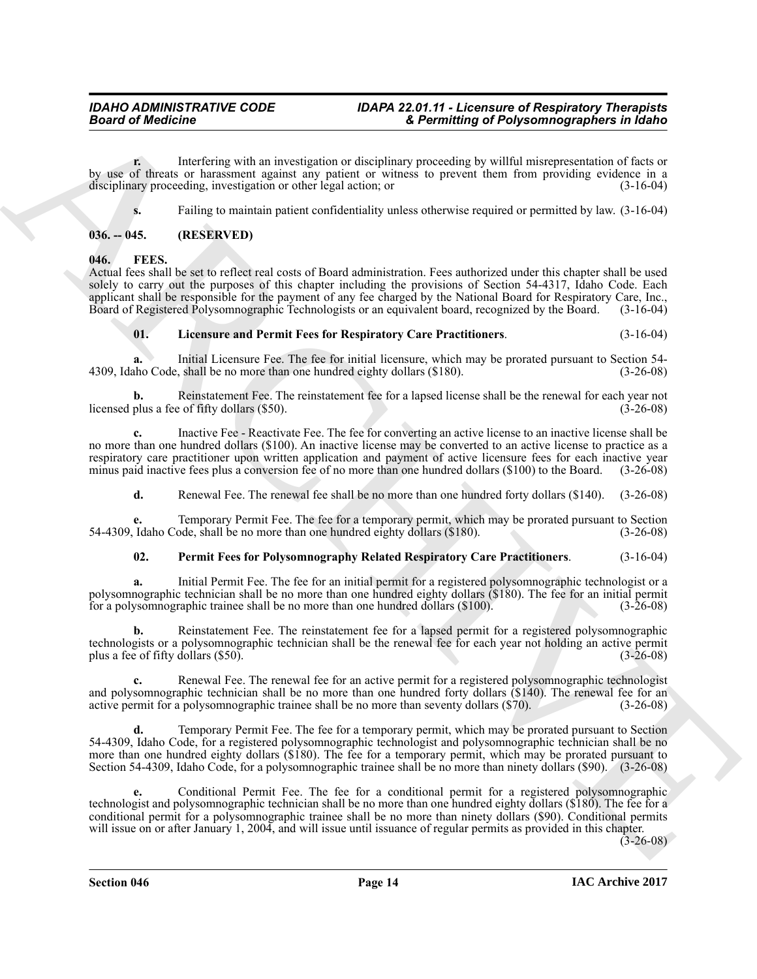**r.** Interfering with an investigation or disciplinary proceeding by willful misrepresentation of facts or by use of threats or harassment against any patient or witness to prevent them from providing evidence in a disciplinary proceeding investigation or other legal action: or disciplinary proceeding, investigation or other legal action; or

<span id="page-13-2"></span>**s.** Failing to maintain patient confidentiality unless otherwise required or permitted by law.  $(3-16-04)$ 

### <span id="page-13-0"></span>**036. -- 045. (RESERVED)**

<span id="page-13-1"></span>**046. FEES.**

**Example of Flux Constraints** and increasing the computer of Flux Constraints and the state of the state of the state of the state of the state of the state of the state of the state of the state of the state of the state Actual fees shall be set to reflect real costs of Board administration. Fees authorized under this chapter shall be used solely to carry out the purposes of this chapter including the provisions of Section 54-4317, Idaho Code. Each applicant shall be responsible for the payment of any fee charged by the National Board for Respiratory Care, Inc., Board of Registered Polysomnographic Technologists or an equivalent board, recognized by the Board. (3-16-Board of Registered Polysomnographic Technologists or an equivalent board, recognized by the Board.

#### <span id="page-13-6"></span><span id="page-13-4"></span><span id="page-13-3"></span>**01. Licensure and Permit Fees for Respiratory Care Practitioners**. (3-16-04)

**a.** Initial Licensure Fee. The fee for initial licensure, which may be prorated pursuant to Section 54- 4309, Idaho Code, shall be no more than one hundred eighty dollars (\$180). (3-26-08)

**b.** Reinstatement Fee. The reinstatement fee for a lapsed license shall be the renewal for each year not plus a fee of fifty dollars (\$50). licensed plus a fee of fifty dollars (\$50).

**c.** Inactive Fee - Reactivate Fee. The fee for converting an active license to an inactive license shall be no more than one hundred dollars (\$100). An inactive license may be converted to an active license to practice as a respiratory care practitioner upon written application and payment of active licensure fees for each inactive year minus paid inactive fees plus a conversion fee of no more than one hundred dollars (\$100) to the Board. (3minus paid inactive fees plus a conversion fee of no more than one hundred dollars (\$100) to the Board.

<span id="page-13-7"></span>**d.** Renewal Fee. The renewal fee shall be no more than one hundred forty dollars (\$140). (3-26-08)

Temporary Permit Fee. The fee for a temporary permit, which may be prorated pursuant to Section ode, shall be no more than one hundred eighty dollars (\$180). (3-26-08) 54-4309, Idaho Code, shall be no more than one hundred eighty dollars (\$180).

### <span id="page-13-5"></span>**02. Permit Fees for Polysomnography Related Respiratory Care Practitioners**. (3-16-04)

**a.** Initial Permit Fee. The fee for an initial permit for a registered polysomnographic technologist or a polysomnographic technician shall be no more than one hundred eighty dollars (\$180). The fee for an initial permit for a polysomnographic trainee shall be no more than one hundred dollars  $(\$100)$ .

**b.** Reinstatement Fee. The reinstatement fee for a lapsed permit for a registered polysomnographic technologists or a polysomnographic technician shall be the renewal fee for each year not holding an active permit plus a fee of fifty dollars  $(\$50)$ .

**c.** Renewal Fee. The renewal fee for an active permit for a registered polysomnographic technologist and polysomnographic technician shall be no more than one hundred forty dollars (\$140). The renewal fee for an active permit for a polysomnographic trainee shall be no more than seventy dollars (\$70). (3-26-08) active permit for a polysomnographic trainee shall be no more than seventy dollars (\$70).

**d.** Temporary Permit Fee. The fee for a temporary permit, which may be prorated pursuant to Section 54-4309, Idaho Code, for a registered polysomnographic technologist and polysomnographic technician shall be no more than one hundred eighty dollars (\$180). The fee for a temporary permit, which may be prorated pursuant to Section 54-4309, Idaho Code, for a polysomnographic trainee shall be no more than ninety dollars (\$90). (3-26-08)

**e.** Conditional Permit Fee. The fee for a conditional permit for a registered polysomnographic technologist and polysomnographic technician shall be no more than one hundred eighty dollars (\$180). The fee for a conditional permit for a polysomnographic trainee shall be no more than ninety dollars (\$90). Conditional permits will issue on or after January 1, 2004, and will issue until issuance of regular permits as provided in this chapter.

 $(3-26-08)$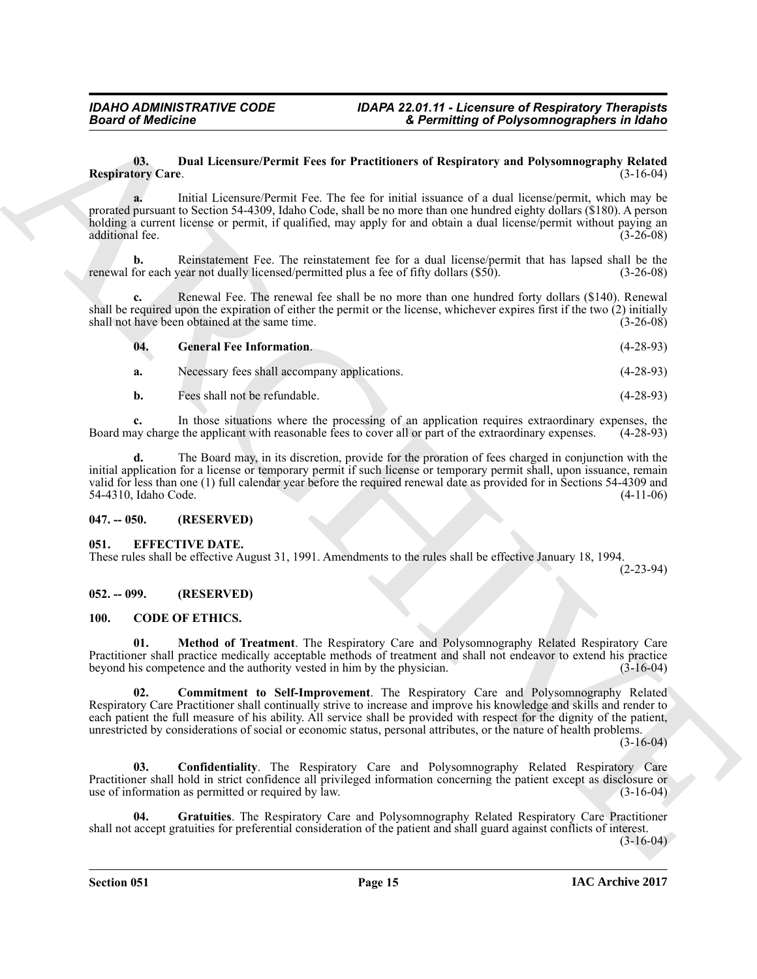#### <span id="page-14-10"></span><span id="page-14-9"></span>**03. Dual Licensure/Permit Fees for Practitioners of Respiratory and Polysomnography Related Respiratory Care.**

|                                 | <b>Board of Medicine</b>                                                                                                               | & Permitting of Polysomnographers in Idaho                                                                                                                                                                                                                                                                                                                                                                                                                                          |
|---------------------------------|----------------------------------------------------------------------------------------------------------------------------------------|-------------------------------------------------------------------------------------------------------------------------------------------------------------------------------------------------------------------------------------------------------------------------------------------------------------------------------------------------------------------------------------------------------------------------------------------------------------------------------------|
| 03.<br><b>Respiratory Care.</b> |                                                                                                                                        | Dual Licensure/Permit Fees for Practitioners of Respiratory and Polysomnography Related<br>$(3-16-04)$                                                                                                                                                                                                                                                                                                                                                                              |
| a.<br>additional fee.           |                                                                                                                                        | Initial Licensure/Permit Fee. The fee for initial issuance of a dual license/permit, which may be<br>prorated pursuant to Section 54-4309, Idaho Code, shall be no more than one hundred eighty dollars (\$180). A person<br>holding a current license or permit, if qualified, may apply for and obtain a dual license/permit without paying an<br>$(3-26-08)$                                                                                                                     |
| b.                              | renewal for each year not dually licensed/permitted plus a fee of fifty dollars (\$50).                                                | Reinstatement Fee. The reinstatement fee for a dual license/permit that has lapsed shall be the<br>$(3-26-08)$                                                                                                                                                                                                                                                                                                                                                                      |
| c.                              | shall not have been obtained at the same time.                                                                                         | Renewal Fee. The renewal fee shall be no more than one hundred forty dollars (\$140). Renewal<br>shall be required upon the expiration of either the permit or the license, whichever expires first if the two (2) initially<br>$(3-26-08)$                                                                                                                                                                                                                                         |
| 04.                             | <b>General Fee Information.</b>                                                                                                        | $(4-28-93)$                                                                                                                                                                                                                                                                                                                                                                                                                                                                         |
| a.                              | Necessary fees shall accompany applications.                                                                                           | $(4-28-93)$                                                                                                                                                                                                                                                                                                                                                                                                                                                                         |
| b.                              | Fees shall not be refundable.                                                                                                          | $(4-28-93)$                                                                                                                                                                                                                                                                                                                                                                                                                                                                         |
| c.                              | Board may charge the applicant with reasonable fees to cover all or part of the extraordinary expenses.                                | In those situations where the processing of an application requires extraordinary expenses, the<br>$(4-28-93)$                                                                                                                                                                                                                                                                                                                                                                      |
| d.<br>54-4310, Idaho Code.      |                                                                                                                                        | The Board may, in its discretion, provide for the proration of fees charged in conjunction with the<br>initial application for a license or temporary permit if such license or temporary permit shall, upon issuance, remain<br>valid for less than one (1) full calendar year before the required renewal date as provided for in Sections 54-4309 and<br>$(4-11-06)$                                                                                                             |
| $047. - 050.$                   | (RESERVED)                                                                                                                             |                                                                                                                                                                                                                                                                                                                                                                                                                                                                                     |
| 051.                            | <b>EFFECTIVE DATE.</b><br>These rules shall be effective August 31, 1991. Amendments to the rules shall be effective January 18, 1994. | $(2-23-94)$                                                                                                                                                                                                                                                                                                                                                                                                                                                                         |
| $052. - 099.$                   | (RESERVED)                                                                                                                             |                                                                                                                                                                                                                                                                                                                                                                                                                                                                                     |
| <b>100.</b>                     | <b>CODE OF ETHICS.</b>                                                                                                                 |                                                                                                                                                                                                                                                                                                                                                                                                                                                                                     |
| 01.                             | beyond his competence and the authority vested in him by the physician.                                                                | Method of Treatment. The Respiratory Care and Polysomnography Related Respiratory Care<br>Practitioner shall practice medically acceptable methods of treatment and shall not endeavor to extend his practice<br>$(3 - 16 - 04)$                                                                                                                                                                                                                                                    |
| 02.                             |                                                                                                                                        | <b>Commitment to Self-Improvement</b> . The Respiratory Care and Polysomnography Related<br>Respiratory Care Practitioner shall continually strive to increase and improve his knowledge and skills and render to<br>each patient the full measure of his ability. All service shall be provided with respect for the dignity of the patient,<br>unrestricted by considerations of social or economic status, personal attributes, or the nature of health problems.<br>$(3-16-04)$ |
| 03.                             | use of information as permitted or required by law.                                                                                    | <b>Confidentiality.</b> The Respiratory Care and Polysomnography Related Respiratory Care<br>Practitioner shall hold in strict confidence all privileged information concerning the patient except as disclosure or<br>$(3-16-04)$                                                                                                                                                                                                                                                  |
|                                 |                                                                                                                                        |                                                                                                                                                                                                                                                                                                                                                                                                                                                                                     |

### <span id="page-14-0"></span>**047. -- 050. (RESERVED)**

### <span id="page-14-1"></span>**051. EFFECTIVE DATE.**

### <span id="page-14-2"></span>**052. -- 099. (RESERVED)**

### <span id="page-14-8"></span><span id="page-14-7"></span><span id="page-14-6"></span><span id="page-14-5"></span><span id="page-14-4"></span><span id="page-14-3"></span>**100. CODE OF ETHICS.**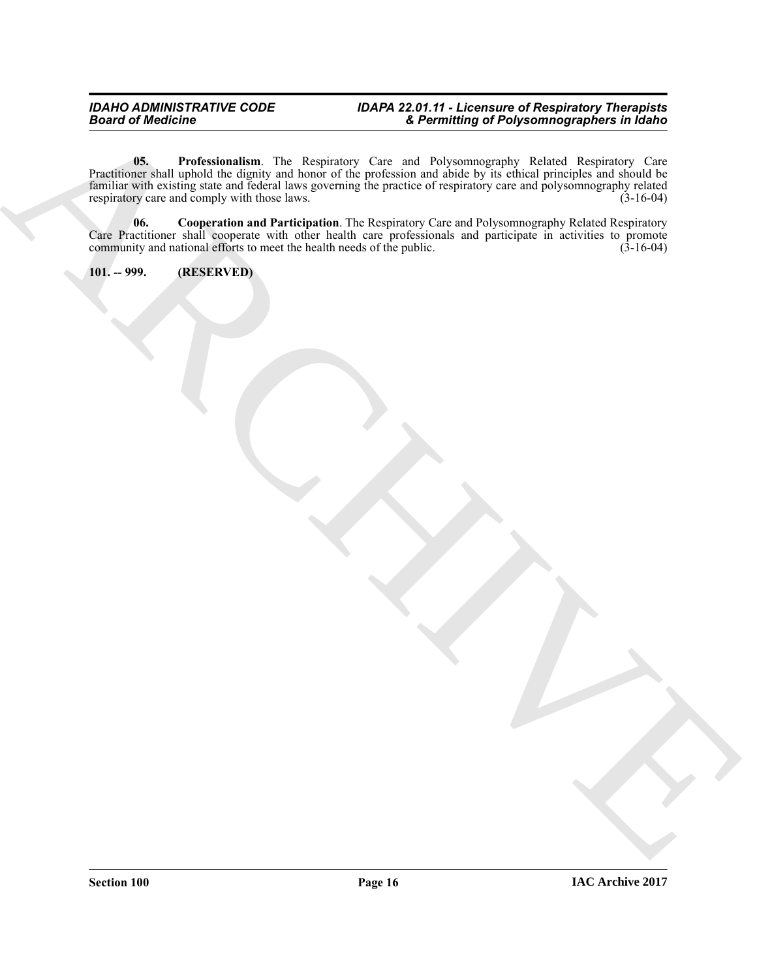ARCHIVE **05. Professionalism**. The Respiratory Care and Polysomnography Related Respiratory Care Practitioner shall uphold the dignity and honor of the profession and abide by its ethical principles and should be familiar with existing state and federal laws governing the practice of respiratory care and polysomnography related respiratory care and comply with those laws. respiratory care and comply with those laws.

<span id="page-15-2"></span><span id="page-15-1"></span>**06. Cooperation and Participation**. The Respiratory Care and Polysomnography Related Respiratory Care Practitioner shall cooperate with other health care professionals and participate in activities to promote community and national efforts to meet the health needs of the public. (3-16-04) community and national efforts to meet the health needs of the public.

<span id="page-15-0"></span>**101. -- 999. (RESERVED)**